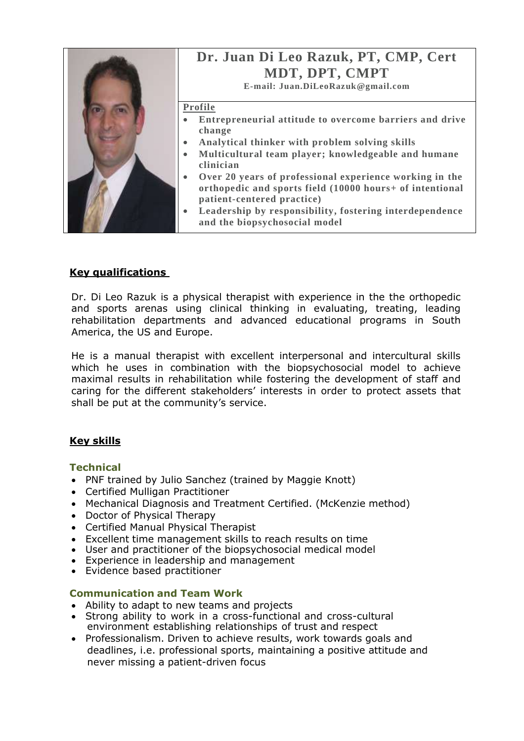

# **Dr. Juan Di Leo Razuk, PT, CMP, Cert MDT, DPT, CMPT**

**E-mail: Juan.DiLeoRazuk@gmail.com**

### **Profile**

- **Entrepreneurial attitude to overcome barriers and drive change**
- **Analytical thinker with problem solving skills**
- **Multicultural team player; knowledgeable and humane clinician**
- **Over 20 years of professional experience working in the orthopedic and sports field (10000 hours+ of intentional patient-centered practice)**
- **Leadership by responsibility, fostering interdependence and the biopsychosocial model**

### **Key qualifications**

Dr. Di Leo Razuk is a physical therapist with experience in the the orthopedic and sports arenas using clinical thinking in evaluating, treating, leading rehabilitation departments and advanced educational programs in South America, the US and Europe.

He is a manual therapist with excellent interpersonal and intercultural skills which he uses in combination with the biopsychosocial model to achieve maximal results in rehabilitation while fostering the development of staff and caring for the different stakeholders' interests in order to protect assets that shall be put at the community's service.

# **Key skills**

### **Technical**

- PNF trained by Julio Sanchez (trained by Maggie Knott)
- Certified Mulligan Practitioner
- Mechanical Diagnosis and Treatment Certified. (McKenzie method)
- Doctor of Physical Therapy
- Certified Manual Physical Therapist
- Excellent time management skills to reach results on time
- User and practitioner of the biopsychosocial medical model
- Experience in leadership and management
- Evidence based practitioner

### **Communication and Team Work**

- Ability to adapt to new teams and projects
- Strong ability to work in a cross-functional and cross-cultural environment establishing relationships of trust and respect
- Professionalism. Driven to achieve results, work towards goals and deadlines, i.e. professional sports, maintaining a positive attitude and never missing a patient-driven focus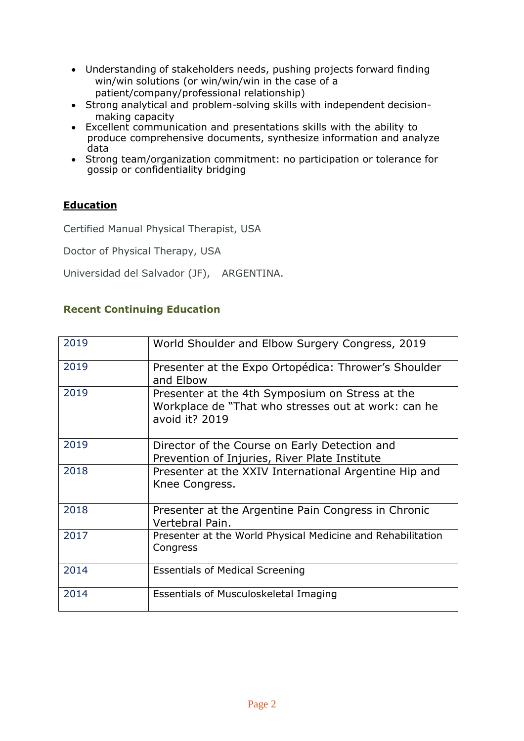- Understanding of stakeholders needs, pushing projects forward finding win/win solutions (or win/win/win in the case of a patient/company/professional relationship)
- Strong analytical and problem-solving skills with independent decisionmaking capacity
- Excellent communication and presentations skills with the ability to produce comprehensive documents, synthesize information and analyze data
- Strong team/organization commitment: no participation or tolerance for gossip or confidentiality bridging

# **Education**

Certified Manual Physical Therapist, USA

Doctor of Physical Therapy, USA

Universidad del Salvador (JF), ARGENTINA.

# **Recent Continuing Education**

| 2019 | World Shoulder and Elbow Surgery Congress, 2019                                                                          |  |  |
|------|--------------------------------------------------------------------------------------------------------------------------|--|--|
| 2019 | Presenter at the Expo Ortopédica: Thrower's Shoulder<br>and Elbow                                                        |  |  |
| 2019 | Presenter at the 4th Symposium on Stress at the<br>Workplace de "That who stresses out at work: can he<br>avoid it? 2019 |  |  |
| 2019 | Director of the Course on Early Detection and<br>Prevention of Injuries, River Plate Institute                           |  |  |
| 2018 | Presenter at the XXIV International Argentine Hip and<br>Knee Congress.                                                  |  |  |
| 2018 | Presenter at the Argentine Pain Congress in Chronic<br>Vertebral Pain.                                                   |  |  |
| 2017 | Presenter at the World Physical Medicine and Rehabilitation<br>Congress                                                  |  |  |
| 2014 | <b>Essentials of Medical Screening</b>                                                                                   |  |  |
| 2014 | Essentials of Musculoskeletal Imaging                                                                                    |  |  |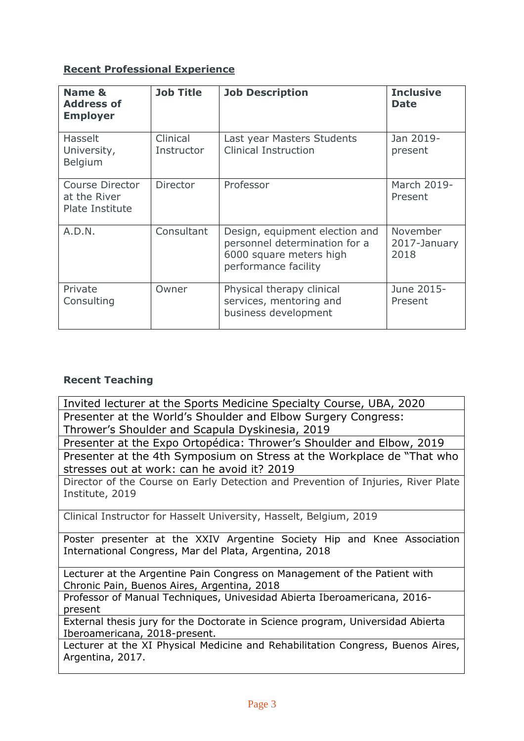# **Recent Professional Experience**

| Name &<br><b>Address of</b><br><b>Employer</b>                   | <b>Job Title</b>       | <b>Job Description</b>                                                                                             | <b>Inclusive</b><br><b>Date</b>  |
|------------------------------------------------------------------|------------------------|--------------------------------------------------------------------------------------------------------------------|----------------------------------|
| Hasselt<br>University,<br>Belgium                                | Clinical<br>Instructor | Last year Masters Students<br><b>Clinical Instruction</b>                                                          | Jan 2019-<br>present             |
| <b>Course Director</b><br>at the River<br><b>Plate Institute</b> | <b>Director</b>        | Professor                                                                                                          | March 2019-<br>Present           |
| A.D.N.                                                           | Consultant             | Design, equipment election and<br>personnel determination for a<br>6000 square meters high<br>performance facility | November<br>2017-January<br>2018 |
| Private<br>Consulting                                            | Owner                  | Physical therapy clinical<br>services, mentoring and<br>business development                                       | June 2015-<br>Present            |

# **Recent Teaching**

Invited lecturer at the Sports Medicine Specialty Course, UBA, 2020 Presenter at the World's Shoulder and Elbow Surgery Congress: Thrower's Shoulder and Scapula Dyskinesia, 2019

Presenter at the Expo Ortopédica: Thrower's Shoulder and Elbow, 2019 Presenter at the 4th Symposium on Stress at the Workplace de "That who stresses out at work: can he avoid it? 2019

Director of the Course on Early Detection and Prevention of Injuries, River Plate Institute, 2019

Clinical Instructor for Hasselt University, Hasselt, Belgium, 2019

Poster presenter at the XXIV Argentine Society Hip and Knee Association International Congress, Mar del Plata, Argentina, 2018

Lecturer at the Argentine Pain Congress on Management of the Patient with Chronic Pain, Buenos Aires, Argentina, 2018

Professor of Manual Techniques, Univesidad Abierta Iberoamericana, 2016 present

External thesis jury for the Doctorate in Science program, Universidad Abierta Iberoamericana, 2018-present.

Lecturer at the XI Physical Medicine and Rehabilitation Congress, Buenos Aires, Argentina, 2017.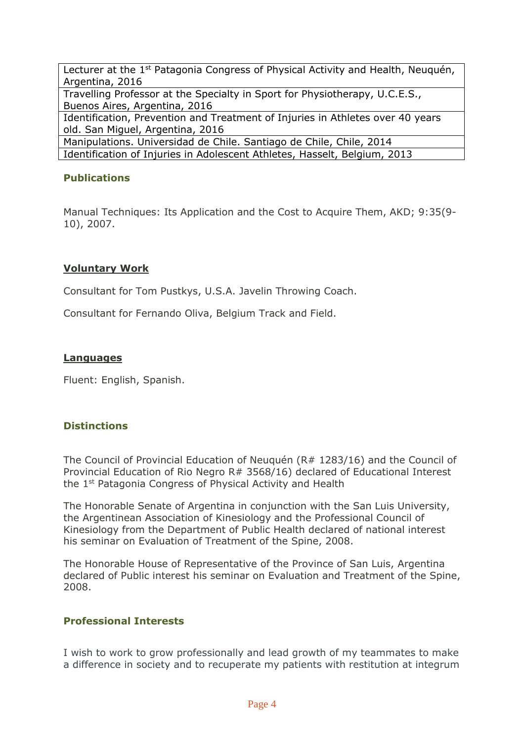Lecturer at the 1<sup>st</sup> Patagonia Congress of Physical Activity and Health, Neuquén, Argentina, 2016 Travelling Professor at the Specialty in Sport for Physiotherapy, U.C.E.S., Buenos Aires, Argentina, 2016 Identification, Prevention and Treatment of Injuries in Athletes over 40 years old. San Miguel, Argentina, 2016 Manipulations. Universidad de Chile. Santiago de Chile, Chile, 2014

Identification of Injuries in Adolescent Athletes, Hasselt, Belgium, 2013

# **Publications**

Manual Techniques: Its Application and the Cost to Acquire Them, AKD; 9:35(9- 10), 2007.

### **Voluntary Work**

Consultant for Tom Pustkys, U.S.A. Javelin Throwing Coach.

Consultant for Fernando Oliva, Belgium Track and Field.

### **Languages**

Fluent: English, Spanish.

### **Distinctions**

The Council of Provincial Education of Neuquén (R# 1283/16) and the Council of Provincial Education of Rio Negro R# 3568/16) declared of Educational Interest the 1st Patagonia Congress of Physical Activity and Health

The Honorable Senate of Argentina in conjunction with the San Luis University, the Argentinean Association of Kinesiology and the Professional Council of Kinesiology from the Department of Public Health declared of national interest his seminar on Evaluation of Treatment of the Spine, 2008.

The Honorable House of Representative of the Province of San Luis, Argentina declared of Public interest his seminar on Evaluation and Treatment of the Spine, 2008.

#### **Professional Interests**

I wish to work to grow professionally and lead growth of my teammates to make a difference in society and to recuperate my patients with restitution at integrum